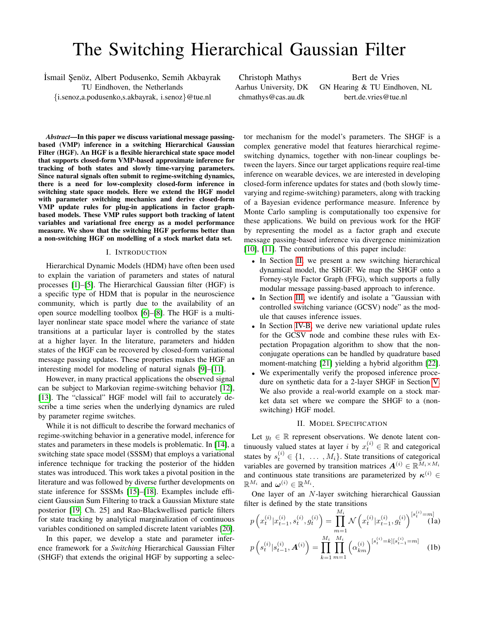# The Switching Hierarchical Gaussian Filter

İsmail Şenöz, Albert Podusenko, Semih Akbayrak TU Eindhoven, the Netherlands {i.senoz,a.podusenko,s.akbayrak, i.senoz}@tue.nl

Christoph Mathys Aarhus University, DK chmathys@cas.au.dk

Bert de Vries GN Hearing & TU Eindhoven, NL bert.de.vries@tue.nl

*Abstract*—In this paper we discuss variational message passingbased (VMP) inference in a switching Hierarchical Gaussian Filter (HGF). An HGF is a flexible hierarchical state space model that supports closed-form VMP-based approximate inference for tracking of both states and slowly time-varying parameters. Since natural signals often submit to regime-switching dynamics, there is a need for low-complexity closed-form inference in switching state space models. Here we extend the HGF model with parameter switching mechanics and derive closed-form VMP update rules for plug-in applications in factor graphbased models. These VMP rules support both tracking of latent variables and variational free energy as a model performance measure. We show that the switching HGF performs better than a non-switching HGF on modelling of a stock market data set.

#### I. INTRODUCTION

Hierarchical Dynamic Models (HDM) have often been used to explain the variation of parameters and states of natural processes [\[1\]](#page-5-0)–[\[5\]](#page-5-1). The Hierarchical Gaussian filter (HGF) is a specific type of HDM that is popular in the neuroscience community, which is partly due to the availability of an open source modelling toolbox [\[6\]](#page-5-2)–[\[8\]](#page-5-3). The HGF is a multilayer nonlinear state space model where the variance of state transitions at a particular layer is controlled by the states at a higher layer. In the literature, parameters and hidden states of the HGF can be recovered by closed-form variational message passing updates. These properties makes the HGF an interesting model for modeling of natural signals [\[9\]](#page-5-4)–[\[11\]](#page-5-5).

However, in many practical applications the observed signal can be subject to Markovian regime-switching behavior [\[12\]](#page-5-6), [\[13\]](#page-5-7). The "classical" HGF model will fail to accurately describe a time series when the underlying dynamics are ruled by parameter regime switches.

While it is not difficult to describe the forward mechanics of regime-switching behavior in a generative model, inference for states and parameters in these models is problematic. In [\[14\]](#page-5-8), a switching state space model (SSSM) that employs a variational inference technique for tracking the posterior of the hidden states was introduced. This work takes a pivotal position in the literature and was followed by diverse further developments on state inference for SSSMs [\[15\]](#page-5-9)–[\[18\]](#page-5-10). Examples include efficient Gaussian Sum Filtering to track a Gaussian Mixture state posterior [\[19,](#page-5-11) Ch. 25] and Rao-Blackwellised particle filters for state tracking by analytical marginalization of continuous variables conditioned on sampled discrete latent variables [\[20\]](#page-5-12).

In this paper, we develop a state and parameter inference framework for a *Switching* Hierarchical Gaussian Filter (SHGF) that extends the original HGF by supporting a selector mechanism for the model's parameters. The SHGF is a complex generative model that features hierarchical regimeswitching dynamics, together with non-linear couplings between the layers. Since our target applications require real-time inference on wearable devices, we are interested in developing closed-form inference updates for states and (both slowly timevarying and regime-switching) parameters, along with tracking of a Bayesian evidence performance measure. Inference by Monte Carlo sampling is computationally too expensive for these applications. We build on previous work for the HGF by representing the model as a factor graph and execute message passing-based inference via divergence minimization [\[10\]](#page-5-13), [\[11\]](#page-5-5). The contributions of this paper include:

- In Section [II,](#page-0-0) we present a new switching hierarchical dynamical model, the SHGF. We map the SHGF onto a Forney-style Factor Graph (FFG), which supports a fully modular message passing-based approach to inference.
- In Section [III,](#page-1-0) we identify and isolate a "Gaussian with controlled switching variance (GCSV) node" as the module that causes inference issues.
- In Section [IV-B,](#page-2-0) we derive new variational update rules for the GCSV node and combine these rules with Expectation Propagation algorithm to show that the nonconjugate operations can be handled by quadrature based moment-matching [\[21\]](#page-5-14) yielding a hybrid algorithm [\[22\]](#page-5-15).
- We experimentally verify the proposed inference procedure on synthetic data for a 2-layer SHGF in Section [V.](#page-3-0) We also provide a real-world example on a stock market data set where we compare the SHGF to a (nonswitching) HGF model.

# <span id="page-0-3"></span><span id="page-0-2"></span><span id="page-0-1"></span>II. MODEL SPECIFICATION

<span id="page-0-0"></span>Let  $y_t \in \mathbb{R}$  represent observations. We denote latent continuously valued states at layer *i* by  $x_t^{(i)} \in \mathbb{R}$  and categorical states by  $s_t^{(i)} \in \{1, \ldots, M_i\}$ . State transitions of categorical variables are governed by transition matrices  $A^{(i)} \in \mathbb{R}^{\bar{M}_i \times M_i}$ and continuous state transitions are parameterized by  $\kappa^{(i)}$   $\in$  $\mathbb{R}^{M_i}$  and  $\boldsymbol{\omega}^{(i)} \in \mathbb{R}^{M_i}$ .

One layer of an N-layer switching hierarchical Gaussian filter is defined by the state transitions

$$
p\left(x_t^{(i)}|x_{t-1}^{(i)}, s_t^{(i)}, g_t^{(i)}\right) = \prod_{m=1}^{M_i} \mathcal{N}\left(x_t^{(i)}|x_{t-1}^{(i)}, g_t^{(i)}\right)^{[s_t^{(i)} = m]}
$$
(1a)

$$
p\left(s_t^{(i)}|s_{t-1}^{(i)},\boldsymbol{A}^{(i)}\right) = \prod_{k=1}^{M_i} \prod_{m=1}^{M_i} \left(\alpha_{km}^{(i)}\right)^{[s_t^{(i)}=k][s_{t-1}^{(i)}=m]} \quad (1b)
$$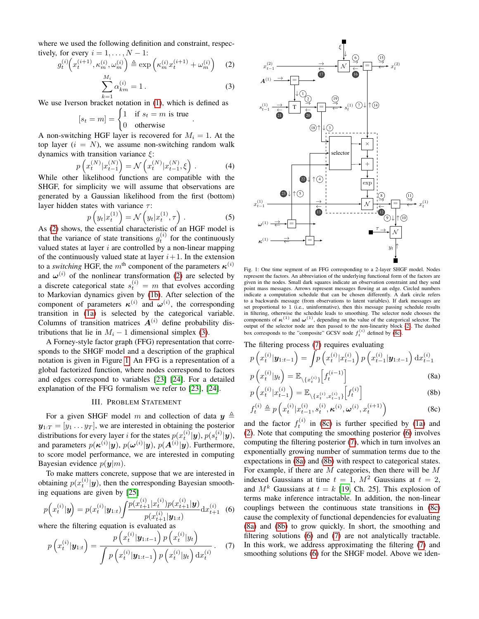where we used the following definition and constraint, respectively, for every  $i = 1, \ldots, N - 1$ :

$$
g_t^{(i)}\left(x_t^{(i+1)}, \kappa_m^{(i)}, \omega_m^{(i)}\right) \triangleq \exp\left(\kappa_m^{(i)} x_t^{(i+1)} + \omega_m^{(i)}\right) \tag{2}
$$

$$
\sum_{k=1}^{n_1} \alpha_{km}^{(i)} = 1.
$$
 (3)

true

.

We use Iverson bracket notation in [\(1\)](#page-0-1), which is defined as

$$
[s_t = m] = \begin{cases} 1 & \text{if } s_t = m \text{ is} \\ 0 & \text{otherwise} \end{cases}
$$

A non-switching HGF layer is recovered for  $M_i = 1$ . At the top layer  $(i = N)$ , we assume non-switching random walk dynamics with transition variance  $\xi$ :

$$
p\left(x_t^{(N)}|x_{t-1}^{(N)}\right) = \mathcal{N}\left(x_t^{(N)}|x_{t-1}^{(N)},\xi\right).
$$
 (4)

While other likelihood functions are compatible with the SHGF, for simplicity we will assume that observations are generated by a Gaussian likelihood from the first (bottom) layer hidden states with variance  $\tau$ :

$$
p\left(y_t|x_t^{(1)}\right) = \mathcal{N}\left(y_t|x_t^{(1)},\tau\right). \tag{5}
$$

As [\(2\)](#page-1-1) shows, the essential characteristic of an HGF model is that the variance of state transitions  $g_t^{(i)}$  for the continuously valued states at layer  $i$  are controlled by a non-linear mapping of the continuously valued state at layer  $i+1$ . In the extension to a *switching* HGF, the  $m^{\text{th}}$  component of the parameters  $\kappa^{(i)}$ and  $\omega^{(i)}$  of the nonlinear transformation [\(2\)](#page-1-1) are selected by a discrete categorical state  $s_t^{(i)} = m$  that evolves according to Markovian dynamics given by [\(1b\)](#page-0-2). After selection of the component of parameters  $\kappa^{(i)}$  and  $\omega^{(i)}$ , the corresponding transition in [\(1a\)](#page-0-3) is selected by the categorical variable. Columns of transition matrices  $A^{(i)}$  define probability distributions that lie in  $M_i - 1$  dimensional simplex [\(3\)](#page-1-2).

A Forney-style factor graph (FFG) representation that corresponds to the SHGF model and a description of the graphical notation is given in Figure [1.](#page-1-3) An FFG is a representation of a global factorized function, where nodes correspond to factors and edges correspond to variables [\[23\]](#page-5-16) [\[24\]](#page-5-17). For a detailed explanation of the FFG formalism we refer to [\[23\]](#page-5-16), [\[24\]](#page-5-17).

# III. PROBLEM STATEMENT

<span id="page-1-0"></span>For a given SHGF model m and collection of data  $y \triangleq$  $y_{1:T} = [y_1 \dots y_T]$ , we are interested in obtaining the posterior distributions for every layer i for the states  $p(x_t^{(i)}|\mathbf{y}), p(s_t^{(i)}|\mathbf{y}),$ and parameters  $p(\kappa^{(i)}|\mathbf{y}), p(\boldsymbol{\omega}^{(i)}|\mathbf{y}), p(\boldsymbol{A}^{(i)}|\mathbf{y}).$  Furthermore, to score model performance, we are interested in computing Bayesian evidence  $p(\mathbf{y}|m)$ .

To make matters concrete, suppose that we are interested in obtaining  $p(x_t^{(i)}|\mathbf{y})$ , then the corresponding Bayesian smoothing equations are given by [\[25\]](#page-5-18)

<span id="page-1-6"></span>
$$
p\left(x_t^{(i)}|\mathbf{y}\right) = p(x_t^{(i)}|\mathbf{y}_{1:t}) \int \frac{p(x_{t+1}^{(i)}|x_t^{(i)})p(x_{t+1}^{(i)}|\mathbf{y})}{p(x_{t+1}^{(i)}|\mathbf{y}_{1:t})} \mathrm{d}x_{t+1}^{(i)} \tag{6}
$$

where the filtering equation is evaluated as

<span id="page-1-5"></span>
$$
p\left(x_t^{(i)}|\mathbf{y}_{1:t}\right) = \frac{p\left(x_t^{(i)}|\mathbf{y}_{1:t-1}\right)p\left(x_t^{(i)}|\mathbf{y}_t\right)}{\int p\left(x_t^{(i)}|\mathbf{y}_{1:t-1}\right)p\left(x_t^{(i)}|\mathbf{y}_t\right)\mathrm{d}x_t^{(i)}}.
$$
 (7)

<span id="page-1-3"></span><span id="page-1-2"></span><span id="page-1-1"></span>

Fig. 1: One time segment of an FFG corresponding to a 2-layer SHGF model. Nodes represent the factors. An abbreviation of the underlying functional form of the factors are given in the nodes. Small dark squares indicate an observation constraint and they send point mass messages. Arrows represent messages flowing at an edge. Circled numbers indicate a computation schedule that can be chosen differently. A dark circle refers to a backwards message (from observations to latent variables). If dark messages are set proportional to 1 (i.e., uninformative), then this message passing schedule results in filtering, otherwise the schedule leads to smoothing. The selector node chooses the components of  $\kappa^{(1)}$  and  $\omega^{(1)}$ , depending on the value of the categorical selector. The output of the selector node are then passed to the non-linearity block [\(2\)](#page-1-1). The dashed box corresponds to the "composite" GCSV node  $f_t^{(i)}$  defined by [\(8c\)](#page-1-4).

The filtering process [\(7\)](#page-1-5) requires evaluating

$$
p\left(x_t^{(i)}|\mathbf{y}_{1:t-1}\right) = \int p\left(x_t^{(i)}|x_{t-1}^{(i)}\right) p\left(x_{t-1}^{(i)}|\mathbf{y}_{1:t-1}\right) dx_{t-1}^{(i)}
$$

$$
p\left(x_t^{(i)}|y_t\right) = \mathbb{E}\left[\left(x_t^{(i-1)}\right)\right] \tag{8a}
$$

<span id="page-1-7"></span>
$$
p\left(x_t^{(i)}|y_t\right) = \mathbb{E}_{\setminus\{x_t^{(i)}\}}\left[f_t^{(i-1)}\right]
$$
\n(8a)

<span id="page-1-8"></span>
$$
p\left(x_t^{(i)}|x_{t-1}^{(i)}\right) = \mathbb{E}_{\setminus\{x_t^{(i)}, x_{t-1}^{(i)}\}}\left[f_t^{(i)}\right]
$$
 (8b)

<span id="page-1-4"></span>
$$
f_t^{(i)} \triangleq p\left(x_t^{(i)} | x_{t-1}^{(i)}, s_t^{(i)}, \boldsymbol{\kappa}^{(i)}, \boldsymbol{\omega}^{(i)}, x_t^{(i+1)}\right)
$$
(8c)

and the factor  $f_t^{(i)}$  in [\(8c\)](#page-1-4) is further specified by [\(1a\)](#page-0-3) and [\(2\)](#page-1-1). Note that computing the smoothing posterior [\(6\)](#page-1-6) involves computing the filtering posterior [\(7\)](#page-1-5), which in turn involves an exponentially growing number of summation terms due to the expectations in [\(8a\)](#page-1-7) and [\(8b\)](#page-1-8) with respect to categorical states. For example, if there are  $M$  categories, then there will be  $M$ indexed Gaussians at time  $t = 1$ ,  $M^2$  Gaussians at  $t = 2$ , and  $M<sup>k</sup>$  Gaussians at  $t = k$  [\[19,](#page-5-11) Ch. 25]. This explosion of terms make inference intractable. In addition, the non-linear couplings between the continuous state transitions in [\(8c\)](#page-1-4) cause the complexity of functional dependencies for evaluating [\(8a\)](#page-1-7) and [\(8b\)](#page-1-8) to grow quickly. In short, the smoothing and filtering solutions [\(6\)](#page-1-6) and [\(7\)](#page-1-5) are not analytically tractable. In this work, we address approximating the filtering [\(7\)](#page-1-5) and smoothing solutions [\(6\)](#page-1-6) for the SHGF model. Above we iden-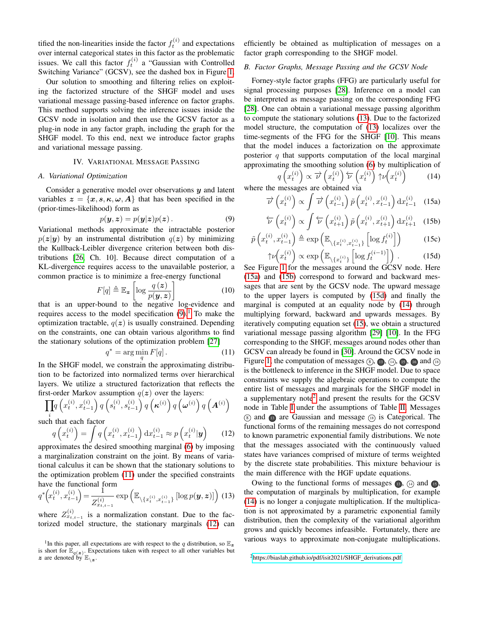tified the non-linearities inside the factor  $f_t^{(i)}$  and expectations over internal categorical states in this factor as the problematic issues. We call this factor  $f_t^{(i)}$  a "Gaussian with Controlled Switching Variance" (GCSV), see the dashed box in Figure [1.](#page-1-3)

Our solution to smoothing and filtering relies on exploiting the factorized structure of the SHGF model and uses variational message passing-based inference on factor graphs. This method supports solving the inference issues inside the GCSV node in isolation and then use the GCSV factor as a plug-in node in any factor graph, including the graph for the SHGF model. To this end, next we introduce factor graphs and variational message passing.

# IV. VARIATIONAL MESSAGE PASSING

# *A. Variational Optimization*

Consider a generative model over observations  $y$  and latent variables  $z = \{x, s, \kappa, \omega, A\}$  that has been specified in the (prior-times-likelihood) form as

<span id="page-2-1"></span>
$$
p(\mathbf{y}, \mathbf{z}) = p(\mathbf{y}|\mathbf{z})p(\mathbf{z}). \tag{9}
$$

Variational methods approximate the intractable posterior  $p(z|y)$  by an instrumental distribution  $q(z)$  by minimizing the Kullback-Leibler divergence criterion between both distributions [\[26,](#page-5-19) Ch. 10]. Because direct computation of a KL-divergence requires access to the unavailable posterior, a common practice is to minimize a free-energy functional

$$
F[q] \triangleq \mathbb{E}_{\mathbf{z}} \left[ \log \frac{q(\mathbf{z})}{p(\mathbf{y}, \mathbf{z})} \right] \tag{10}
$$

that is an upper-bound to the negative log-evidence and requires access to the model specification  $(9)$ .<sup>[1](#page-2-2)</sup> To make the optimization tractable,  $q(z)$  is usually constrained. Depending on the constraints, one can obtain various algorithms to find the stationary solutions of the optimization problem [\[27\]](#page-5-20)

<span id="page-2-3"></span>
$$
q^* = \arg\min_{q} F[q]. \tag{11}
$$

In the SHGF model, we constrain the approximating distribution to be factorized into normalized terms over hierarchical layers. We utilize a structured factorization that reflects the first-order Markov assumption  $q(z)$  over the layers:

<span id="page-2-4"></span>
$$
\prod_i q\left(x_t^{(i)}, x_{t-1}^{(i)}\right)q\left(s_t^{(i)}, s_{t-1}^{(i)}\right)q\left(\boldsymbol{\kappa}^{(i)}\right)q\left(\boldsymbol{\omega}^{(i)}\right)q\left(\boldsymbol{A}^{(i)}\right)
$$

such that each factor

$$
q\left(x_t^{(i)}\right) = \int q\left(x_t^{(i)}, x_{t-1}^{(i)}\right) dx_{t-1}^{(i)} \approx p\left(x_t^{(i)} | \mathbf{y}\right) \tag{12}
$$

approximates the desired smoothing marginal [\(6\)](#page-1-6) by imposing a marginalization constraint on the joint. By means of variational calculus it can be shown that the stationary solutions to the optimization problem [\(11\)](#page-2-3) under the specified constraints have the functional form

$$
q^*\left(x_t^{(i)}, x_{t-1}^{(i)}\right) = \frac{1}{Z_{x_{t,t-1}}^{(i)}} \exp\left(\mathbb{E}_{\setminus\{x_t^{(i)}, x_{t-1}^{(i)}\}}\left[\log p(\mathbf{y}, \mathbf{z})\right]\right)
$$
(13)

where  $Z_{x_{t,t-1}}^{(i)}$  is a normalization constant. Due to the factorized model structure, the stationary marginals [\(12\)](#page-2-4) can efficiently be obtained as multiplication of messages on a factor graph corresponding to the SHGF model.

# <span id="page-2-0"></span>*B. Factor Graphs, Message Passing and the GCSV Node*

Forney-style factor graphs (FFG) are particularly useful for signal processing purposes [\[28\]](#page-5-21). Inference on a model can be interpreted as message passing on the corresponding FFG [\[28\]](#page-5-21). One can obtain a variational message passing algorithm to compute the stationary solutions [\(13\)](#page-2-5). Due to the factorized model structure, the computation of [\(13\)](#page-2-5) localizes over the time-segments of the FFG for the SHGF [\[10\]](#page-5-13). This means that the model induces a factorization on the approximate posterior  $q$  that supports computation of the local marginal approximating the smoothing solution [\(6\)](#page-1-6) by multiplication of

<span id="page-2-10"></span><span id="page-2-9"></span><span id="page-2-7"></span><span id="page-2-6"></span>
$$
q\left(x_t^{(i)}\right) \propto \overrightarrow{\nu}\left(x_t^{(i)}\right) \overleftarrow{\nu}\left(x_t^{(i)}\right) \uparrow \nu\left(x_t^{(i)}\right) \qquad (14)
$$

where the messages are obtained via

$$
\overrightarrow{\nu}\left(x_t^{(i)}\right) \propto \int \overrightarrow{\nu}\left(x_{t-1}^{(i)}\right) \tilde{p}\left(x_t^{(i)}, x_{t-1}^{(i)}\right) dx_{t-1}^{(i)} \quad (15a)
$$

$$
\overleftarrow{\nu}\left(x_t^{(i)}\right) \propto \int \overleftarrow{\nu}\left(x_{t+1}^{(i)}\right) \tilde{p}\left(x_t^{(i)}, x_{t+1}^{(i)}\right) dx_{t+1}^{(i)} \quad (15b)
$$

$$
\tilde{p}\left(x_t^{(i)}, x_{t-1}^{(i)}\right) \triangleq \exp\left(\mathbb{E}_{\setminus \{x_t^{(i)}, x_{t-1}^{(i)}\}}\left[\log f_t^{(i)}\right]\right) \tag{15c}
$$

<span id="page-2-8"></span>
$$
\uparrow \nu\left(x_t^{(i)}\right) \propto \exp\left(\mathbb{E}_{\setminus \{x_t^{(i)}\}}\left[\log f_t^{(i-1)}\right]\right). \tag{15d}
$$
\nSince *l* for the *measure* around the *GCSV* node. Here

See Figure [1](#page-1-3) for the messages around the GCSV node. Here [\(15a\)](#page-2-6) and [\(15b\)](#page-2-7) correspond to forward and backward messages that are sent by the GCSV node. The upward message to the upper layers is computed by [\(15d\)](#page-2-8) and finally the marginal is computed at an equality node by [\(14\)](#page-2-9) through multiplying forward, backward and upwards messages. By iteratively computing equation set [\(15\)](#page-2-10), we obtain a structured variational message passing algorithm [\[29\]](#page-5-22) [\[10\]](#page-5-13). In the FFG corresponding to the SHGF, messages around nodes other than GCSV can already be found in [\[30\]](#page-5-23). Around the GCSV node in Figure [1,](#page-1-3) the computation of messages  $\circledS$ ,  $\circledR$ ,  $\circledR$ ,  $\circledR$ ,  $\circledR$  and  $\circledR$ is the bottleneck to inference in the SHGF model. Due to space constraints we supply the algebraic operations to compute the entire list of messages and marginals for the SHGF model in a supplementary note<sup>[2](#page-2-11)</sup> and present the results for the GCSV node in Table [I](#page-3-1) under the assumptions of Table [II.](#page-3-2) Messages  $\circledR$  and  $\circledR$  are Gaussian and message  $\circledR$  is Categorical. The functional forms of the remaining messages do not correspond to known parametric exponential family distributions. We note that the messages associated with the continuously valued states have variances comprised of mixture of terms weighted by the discrete state probabilities. This mixture behaviour is the main difference with the HGF update equations.

<span id="page-2-5"></span>Owing to the functional forms of messages  $\mathbb{B}$ ,  $\mathbb{A}$  and  $\mathbb{B}$ , the computation of marginals by multiplication, for example [\(14\)](#page-2-9) is no longer a conjugate multiplication. If the multiplication is not approximated by a parametric exponential family distribution, then the complexity of the variational algorithm grows and quickly becomes infeasible. Fortunately, there are various ways to approximate non-conjugate multiplications.

<span id="page-2-2"></span><sup>&</sup>lt;sup>1</sup>In this paper, all expectations are with respect to the q distribution, so  $\mathbb{E}_{\mathbf{z}}$ is short for  $\mathbb{E}_{q(z)}$ . Expectations taken with respect to all other variables but  $z$  are denoted by  $\mathbb{E}_{\setminus z}$ .

<span id="page-2-11"></span><sup>2</sup>[https://biaslab.github.io/pdf/isit2021/SHGF](https://biaslab.github.io/pdf/isit2021/SHGF_derivations.pdf) derivations.pdf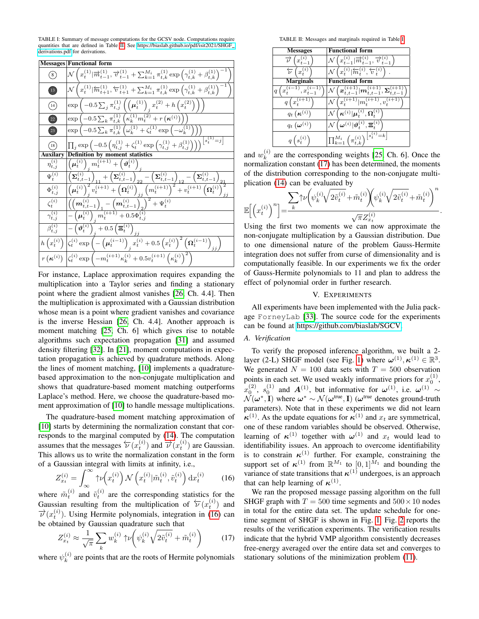<span id="page-3-1"></span>TABLE I: Summary of message computations for the GCSV node. Computations require quantities that are defined in Table [II.](#page-3-2) See [https://biaslab.github.io/pdf/isit2021/SHGF](https://biaslab.github.io/pdf/isit2021/SHGF_derivations.pdf) [derivations.pdf](https://biaslab.github.io/pdf/isit2021/SHGF_derivations.pdf) for derivations.

|                                | Messages Functional form                                                                                                                                                                                                                             |
|--------------------------------|------------------------------------------------------------------------------------------------------------------------------------------------------------------------------------------------------------------------------------------------------|
| $\left(8\right)$               | $\mathcal{N}\left(x_t^{(1)}   \overrightarrow{m}_{t-1}^{(1)}, \overrightarrow{v}_{t-1}^{(1)} + \sum_{k=1}^{M_i} \pi_{t,k}^{(1)} \exp\left(\gamma_{t,k}^{(1)} + \beta_{t,k}^{(1)}\right)^{-1}\right)$                                                 |
| $\bullet$                      | $\left  {\cal N}\left(x_t^{(1)} \overleftarrow m_{t+1}^{(1)},\overleftarrow v_{t+1}^{(1)} + \sum_{k=1}^{M_i} \pi_{t,k}^{(1)} \exp\left(\gamma_{t,k}^{(1)} + \beta_{t,k}^{(1)}\right)^{-1}\right.\right.$                                             |
| $\binom{14}{}$                 | $\exp \left(-0.5 \sum_j \pi_{t,j}^{(1)} \left( \left( \mu_t^{(1)} \right)_i x_t^{(2)} + h \left( x_t^{(2)} \right) \right) \right)$                                                                                                                  |
| $(22)$                         |                                                                                                                                                                                                                                                      |
| $\left( 23\right)$             | $\frac{\exp\left(-0.5\sum_k\pi_{t,k}^{(1)}\left(\kappa_k^{(1)}m_t^{(2)}+r\left(\boldsymbol{\kappa}^{(i)}\right)\right)\right)}{\exp\left(-0.5\sum_k\pi_{t,k}^{(1)}\left(\omega_k^{(1)}+\zeta_t^{(1)}\exp\left(-\omega_k^{(1)}\right)\right)\right)}$ |
| $\left(18\right)$              | $\frac{\prod_j \exp\left(-0.5\left(\eta_{t,j}^{(1)}+\zeta_t^{(1)}\exp\left(\gamma_{t,j}^{(1)}+\beta_{t,j}^{(1)}\right)\right)\right)}{\sum_{i=1}^s\prod_j^{(1)}\exp\left(\gamma_{t,j}^{(1)}+\beta_{t,j}^{(1)}\right)}$                               |
| Auxilary                       | moment statistics                                                                                                                                                                                                                                    |
| $\overline{\eta_{t,j}^{(i)}}$  | $\left(\boldsymbol{\mu}_t^{(i)}\right)_i m_t^{(i+1)} + \left(\boldsymbol{\vartheta}_t^{(i)}\right)$                                                                                                                                                  |
| $\Psi_t^{(i)}$                 | $\overline{\left( \boldsymbol{\Sigma}_{t,t-1}^{(i)} \right)_{\tau_{1}} + \left( \boldsymbol{\Sigma}_{t,t-1}^{(i)} \right)_{22}} - \left( \boldsymbol{\Sigma}_{t,t-1}^{(i)} \right)_{12} - \left( \boldsymbol{\Sigma}_{t,t-1}^{(i)} \right)_{t}}$     |
| $\Phi^{(i)}_{t,j}$             | $\frac{\left(\mu_t^{(i)}\right)_j^2 v_t^{(i+1)}+\left(\Omega_t^{(i)}\right)_{jj}^2 \left(m_t^{(i+1)}\right)^2+v_t^{(i+1)}\left(\Omega_t^{(i)}\right)^2 }{ \left(m_t^{(i+1)}\right)^2+v_t^{(i+1)}\left(\Omega_t^{(i)}\right)^2}$                      |
| $\zeta_t^{(i)}$                | $\overbrace{\left(\left(\boldsymbol{m}_{t,t-1}^{(i)}\right)_{1}-\left(\boldsymbol{m}_{t,t-1}^{(i)}\right)_{2}\right)^{2}+\Psi_{t}^{(i)}}^{(i)}$                                                                                                      |
| $\gamma_{t,j}^{(i)}$           | $-\left(\mu_t^{(i)}\right)$ $m_t^{(i+1)} + 0.5\Phi_{t,j}^{(i)}$                                                                                                                                                                                      |
| $\beta_{t,i}^{(i)}$            | $\overline{-\left(\boldsymbol{\vartheta}_{t}^{\left(i\right)}\right)_{i}+0.5\left(\boldsymbol{\Xi}_{t}^{\left(i\right)}\right)_{jj}}$                                                                                                                |
| $h\left(x_t^{(i)}\right)$      | $\overline{\left \zeta_t^{(i)}\exp\left(-\left(\mu_t^{(i-1)}\right)_i x_t^{(i)}+0.5\left(x_t^{(i)}\right)^2\left(\boldsymbol{\Omega}_t^{(i-1)}\right)_{ii}\right)}$                                                                                  |
| $r(\boldsymbol{\kappa}^{(i)})$ | $\left \zeta_t^{(i)} \exp \left(-m_t^{(i+1)} \kappa_k^{(i)} + 0.5 v_t^{(i+1)} \left(\kappa_k^{(i)}\right)^2\right)\right $                                                                                                                           |

For instance, Laplace approximation requires expanding the multiplication into a Taylor series and finding a stationary point where the gradient almost vanishes [\[26,](#page-5-19) Ch. 4.4]. Then the multiplication is approximated with a Gaussian distribution whose mean is a point where gradient vanishes and covariance is the inverse Hessian [\[26,](#page-5-19) Ch. 4.4]. Another approach is moment matching [\[25,](#page-5-18) Ch. 6] which gives rise to notable algorithms such expectation propagation [\[31\]](#page-5-24) and assumed density filtering [\[32\]](#page-5-25). In [\[21\]](#page-5-14), moment computations in expectation propagation is achieved by quadrature methods. Along the lines of moment matching, [\[10\]](#page-5-13) implements a quadraturebased approximation to the non-conjugate multiplication and shows that quadrature-based moment matching outperforms Laplace's method. Here, we choose the quadrature-based moment approximation of [\[10\]](#page-5-13) to handle message multiplications.

The quadrature-based moment matching approximation of [\[10\]](#page-5-13) starts by determining the normalization constant that corresponds to the marginal computed by [\(14\)](#page-2-9). The computation assumes that the messages  $\overleftarrow{\mathcal{L}}(x_t^{(i)})$  and  $\overrightarrow{\mathcal{V}}(x_t^{(i)})$  are Gaussian. This allows us to write the normalization constant in the form of a Gaussian integral with limits at infinity, i.e.,

<span id="page-3-3"></span>
$$
Z_{x_t}^{(i)} = \int_{\infty}^{\infty} \tilde{\tau} \nu\left(x_t^{(i)}\right) \mathcal{N}\left(x_t^{(i)} | \tilde{m}_t^{(i)}, \tilde{v}_t^{(i)}\right) \mathrm{d}x_t^{(i)} \tag{16}
$$

where  $\tilde{m}_t^{(i)}$  and  $\tilde{v}_t^{(i)}$  are the corresponding statistics for the Gaussian resulting from the multiplication of  $\overleftarrow{\nu}(x_t^{(i)})$  and  $\vec{v}(x_t^{(i)})$ . Using Hermite polynomials, integration in [\(16\)](#page-3-3) can be obtained by Gaussian quadrature such that

<span id="page-3-4"></span>
$$
Z_{x_t}^{(i)} \approx \frac{1}{\sqrt{\pi}} \sum_k w_k^{(i)} \uparrow \nu \left( \psi_k^{(i)} \sqrt{2 \tilde{v}_t^{(i)}} + \tilde{m}_t^{(i)} \right) \tag{17}
$$

where  $\psi_k^{(i)}$  $k<sup>(t)</sup>$  are points that are the roots of Hermite polynomials

TABLE II: Messages and marginals required in Table [I.](#page-3-1)

<span id="page-3-2"></span>

| <b>Messages</b>                                        | <b>Functional form</b>                                                                                       |
|--------------------------------------------------------|--------------------------------------------------------------------------------------------------------------|
| $(x_{t-1}^{(i)})$<br>$\overrightarrow{\nu}$            | $\left(x_{t-1}^{(i)}   \overrightarrow{m}_{t-1}^{(i)}, \overrightarrow{v}_{t-1}^{(i)}\right)$                |
| $(x_t^{(i)}$                                           | $\big(x_t^{(i)}   \overleftarrow{m}_t^{(i)}, \overleftarrow{v}_t^{(i)}\big)$                                 |
| <b>Marginals</b>                                       | <b>Functional form</b>                                                                                       |
| $x_t^{(i)}$<br>$,x_{t-1}^{\prime}$<br>$\boldsymbol{q}$ | $\lceil \bm{x}_{t,t-1}^{(i+1)}  \bm{m}_{t,t-1}^{(i+1)}, \bm{\Sigma}_{t,t-1}^{(i+1)} \rceil$                  |
| $q\left(x_t^{(i+1)}\right)$                            | $(x^{(i+1)}_t   m_t^{(i+1)}, v^{(i-1)}_t)$                                                                   |
| $q_t\left(\boldsymbol{\kappa}^{(i)}\right)$            | $\mathcal{L}^{(i)}   \boldsymbol{\mu}_t^{(i)}, \boldsymbol{\Omega}_t^{(i)}$                                  |
| $q_t\left(\pmb\omega^{(i)}\right)$                     | $\mathcal{N}\left(\boldsymbol{\omega}^{(i)} \boldsymbol{\vartheta}_t^{(i)}, \boldsymbol{\Xi}_t^{(i)}\right)$ |
| $q\left(s_t^{(i)}\right)$                              | $\prod_{k=1}^{M_i} \left(\pi_{t,k}^{(i)}\right)^{\left\lfloor s_t^{(i)}=k\right\rfloor}$                     |

and  $w_k^{(i)}$  $k<sup>(t)</sup>$  are the corresponding weights [\[25,](#page-5-18) Ch. 6]. Once the normalization constant [\(17\)](#page-3-4) has been determined, the moments of the distribution corresponding to the non-conjugate multiplication [\(14\)](#page-2-9) can be evaluated by

$$
\mathbb{E}\Big[\Big(x_t^{(i)}\Big)^n\Big]\hspace{-0.03cm}=\hspace{-0.03cm}\frac{\displaystyle\sum_k\hspace{-.03cm}\uparrow\hspace{-.04cm}\nu\Big(\hspace{-.04cm}\psi_k^{(i)}\hspace{-.04cm}\sqrt{2\tilde v_t^{(i)}}\hspace{-.1cm}+\hspace{-.04cm} \tilde m_t^{(i)}\hspace{-.04cm}\Big)\hspace{-.04cm}\Big(\hspace{-.04cm}\psi_k^{(i)}\hspace{-.04cm}\sqrt{2\tilde v_t^{(i)}}\hspace{-.1cm}+\hspace{-.04cm} \tilde m_t^{(i)}\hspace{-.04cm}\Big)^n}{\sqrt{\pi}Z_{x_t}^{(i)}}.
$$

Using the first two moments we can now approximate the non-conjugate multiplication by a Gaussian distribution. Due to one dimensional nature of the problem Gauss-Hermite integration does not suffer from curse of dimensionality and is computationally feasible. In our experiments we fix the order of Gauss-Hermite polynomials to 11 and plan to address the effect of polynomial order in further research.

#### V. EXPERIMENTS

<span id="page-3-0"></span>All experiments have been implemented with the Julia package ForneyLab [\[33\]](#page-5-26). The source code for the experiments can be found at [https://github.com/biaslab/SGCV.](https://github.com/biaslab/SGCV)

# *A. Verification*

To verify the proposed inference algorithm, we built a 2- layer (2-L) SHGF model (see Fig. [1\)](#page-1-3) where  $\boldsymbol{\omega}^{(1)}$ ,  $\boldsymbol{\kappa}^{(1)} \in \mathbb{R}^3$ . We generated  $N = 100$  data sets with  $T = 500$  observation points in each set. We used weakly informative priors for  $x_0^{(1)}$ ,  $x_0^{(2)}$ ,  $s_0^{(1)}$  and  $A^{(1)}$ , but informative for  $\omega^{(1)}$ , i.e.  $\omega^{(1)} \sim$  $\mathcal{N}(\boldsymbol{\omega}^*, \mathbf{I})$  where  $\boldsymbol{\omega}^* \sim \mathcal{N}(\boldsymbol{\omega}^{\text{true}}, \mathbf{I})$  ( $\boldsymbol{\omega}^{\text{true}}$  denotes ground-truth parameters). Note that in these experiments we did not learn  $\kappa^{(1)}$ . As the update equations for  $\kappa^{(1)}$  and  $x_t$  are symmetrical, one of these random variables should be observed. Otherwise, learning of  $\kappa^{(1)}$  together with  $\omega^{(1)}$  and  $x_t$  would lead to identifiability issues. An approach to overcome identifiability is to constrain  $\kappa^{(1)}$  further. For example, constraining the support set of  $\kappa^{(1)}$  from  $\mathbb{R}^{M_1}$  to  $[0,1]^{\bar{M}_1}$  and bounding the variance of state transitions that  $\kappa^{(1)}$  undergoes, is an approach that can help learning of  $\kappa^{(1)}$ .

We ran the proposed message passing algorithm on the full SHGF graph with  $T = 500$  time segments and  $500 \times 10$  nodes in total for the entire data set. The update schedule for onetime segment of SHGF is shown in Fig. [1.](#page-1-3) Fig. [2](#page-4-0) reports the results of the verification experiments. The verification results indicate that the hybrid VMP algorithm consistently decreases free-energy averaged over the entire data set and converges to stationary solutions of the minimization problem [\(11\)](#page-2-3).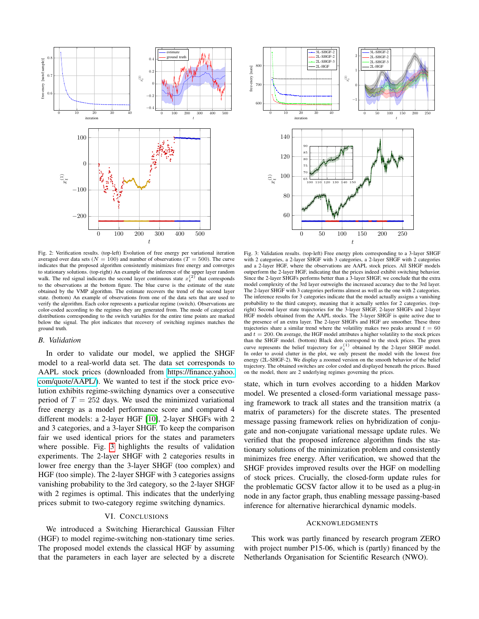<span id="page-4-0"></span>

<span id="page-4-1"></span>

Fig. 2: Verification results. (top-left) Evolution of free energy per variational iteration averaged over data sets ( $N = 100$ ) and number of observations ( $T = 500$ ). The curve indicates that the proposed algorithm consistently minimizes free energy and converges to stationary solutions. (top-right) An example of the inference of the upper layer random walk. The red signal indicates the second layer continuous state  $x_t^{(2)}$  that corresponds to the observations at the bottom figure. The blue curve is the estimate of the state obtained by the VMP algorithm. The estimate recovers the trend of the second layer state. (bottom) An example of observations from one of the data sets that are used to verify the algorithm. Each color represents a particular regime (switch). Observations are color-coded according to the regimes they are generated from. The mode of categorical distributions corresponding to the switch variables for the entire time points are marked below the signal. The plot indicates that recovery of switching regimes matches the ground truth.

#### *B. Validation*

In order to validate our model, we applied the SHGF model to a real-world data set. The data set corresponds to AAPL stock prices (downloaded from [https://finance.yahoo.](https://finance.yahoo.com/quote/AAPL/) [com/quote/AAPL/\)](https://finance.yahoo.com/quote/AAPL/). We wanted to test if the stock price evolution exhibits regime-switching dynamics over a consecutive period of  $T = 252$  days. We used the minimized variational free energy as a model performance score and compared 4 different models: a 2-layer HGF [\[10\]](#page-5-13), 2-layer SHGFs with 2 and 3 categories, and a 3-layer SHGF. To keep the comparison fair we used identical priors for the states and parameters where possible. Fig. [3](#page-4-1) highlights the results of validation experiments. The 2-layer SHGF with 2 categories results in lower free energy than the 3-layer SHGF (too complex) and HGF (too simple). The 2-layer SHGF with 3 categories assigns vanishing probability to the 3rd category, so the 2-layer SHGF with 2 regimes is optimal. This indicates that the underlying prices submit to two-category regime switching dynamics.

# VI. CONCLUSIONS

We introduced a Switching Hierarchical Gaussian Filter (HGF) to model regime-switching non-stationary time series. The proposed model extends the classical HGF by assuming that the parameters in each layer are selected by a discrete

Fig. 3: Validation results. (top-left) Free energy plots corresponding to a 3-layer SHGF with 2 categories, a 2-layer SHGF with 3 categories, a 2-layer SHGF with 2 categories and a 2-layer HGF, where the observations are AAPL stock prices. All SHGF models outperform the 2-layer HGF, indicating that the prices indeed exhibit switching behavior. Since the 2-layer SHGFs performs better than a 3-layer SHGF, we conclude that the extra model complexity of the 3rd layer outweighs the increased accuracy due to the 3rd layer. The 2-layer SHGF with 3 categories performs almost as well as the one with 2 categories. The inference results for 3 categories indicate that the model actually assigns a vanishing probability to the third category, meaning that it actually settles for 2 categories. (topright) Second layer state trajectories for the 3-layer SHGF, 2-layer SHGFs and 2-layer HGF models obtained from the AAPL stocks. The 3-layer SHGF is quite active due to the presence of an extra layer. The 2-layer SHGFs and HGF are smoother. These three trajectories share a similar trend where the volatility makes two peaks around  $t = 60$ and  $t = 200$ . On average, the HGF model attributes a higher volatility to the stock prices than the SHGF model. (bottom) Black dots correspond to the stock prices. The green curve represents the belief trajectory for  $x_t^{(1)}$  obtained by the 2-layer SHGF model. In order to avoid clutter in the plot, we only present the model with the lowest free energy (2L-SHGF-2). We display a zoomed version on the smooth behavior of the belief trajectory. The obtained switches are color coded and displayed beneath the prices. Based on the model, there are 2 underlying regimes governing the prices.

state, which in turn evolves according to a hidden Markov model. We presented a closed-form variational message passing framework to track all states and the transition matrix (a matrix of parameters) for the discrete states. The presented message passing framework relies on hybridization of conjugate and non-conjugate variational message update rules. We verified that the proposed inference algorithm finds the stationary solutions of the minimization problem and consistently minimizes free energy. After verification, we showed that the SHGF provides improved results over the HGF on modelling of stock prices. Crucially, the closed-form update rules for the problematic GCSV factor allow it to be used as a plug-in node in any factor graph, thus enabling message passing-based inference for alternative hierarchical dynamic models.

### ACKNOWLEDGMENTS

This work was partly financed by research program ZERO with project number P15-06, which is (partly) financed by the Netherlands Organisation for Scientific Research (NWO).